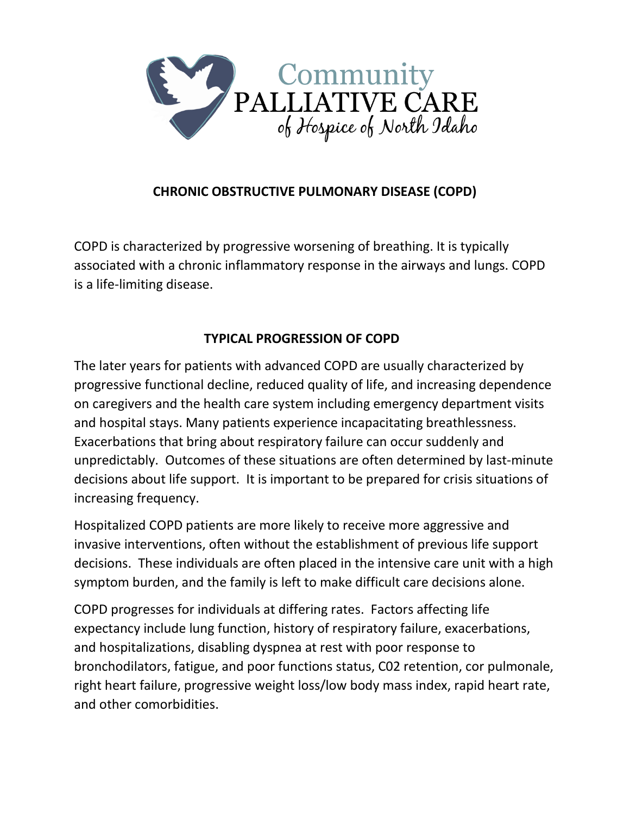

# **CHRONIC OBSTRUCTIVE PULMONARY DISEASE (COPD)**

COPD is characterized by progressive worsening of breathing. It is typically associated with a chronic inflammatory response in the airways and lungs. COPD is a life-limiting disease.

# **TYPICAL PROGRESSION OF COPD**

The later years for patients with advanced COPD are usually characterized by progressive functional decline, reduced quality of life, and increasing dependence on caregivers and the health care system including emergency department visits and hospital stays. Many patients experience incapacitating breathlessness. Exacerbations that bring about respiratory failure can occur suddenly and unpredictably. Outcomes of these situations are often determined by last-minute decisions about life support. It is important to be prepared for crisis situations of increasing frequency.

Hospitalized COPD patients are more likely to receive more aggressive and invasive interventions, often without the establishment of previous life support decisions. These individuals are often placed in the intensive care unit with a high symptom burden, and the family is left to make difficult care decisions alone.

COPD progresses for individuals at differing rates. Factors affecting life expectancy include lung function, history of respiratory failure, exacerbations, and hospitalizations, disabling dyspnea at rest with poor response to bronchodilators, fatigue, and poor functions status, C02 retention, cor pulmonale, right heart failure, progressive weight loss/low body mass index, rapid heart rate, and other comorbidities.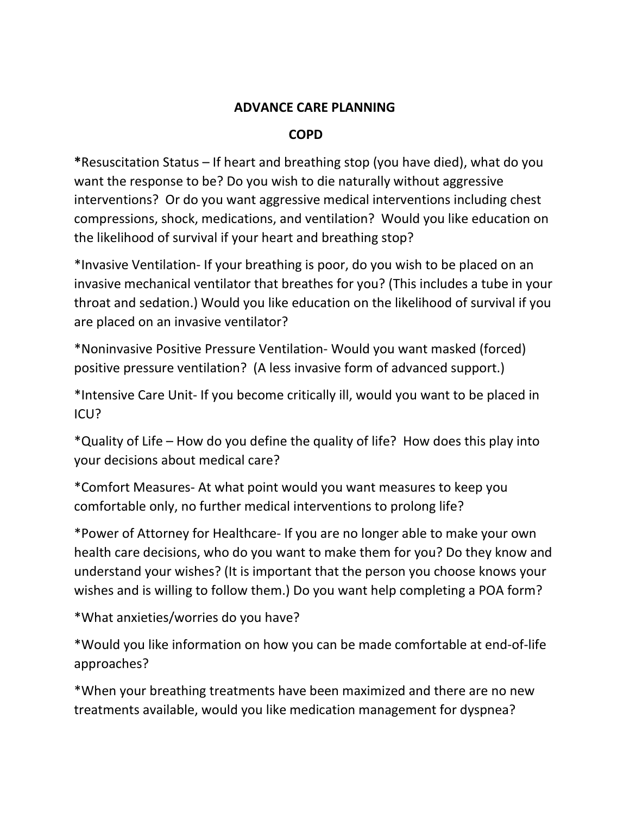## **ADVANCE CARE PLANNING**

### **COPD**

**\***Resuscitation Status – If heart and breathing stop (you have died), what do you want the response to be? Do you wish to die naturally without aggressive interventions? Or do you want aggressive medical interventions including chest compressions, shock, medications, and ventilation? Would you like education on the likelihood of survival if your heart and breathing stop?

\*Invasive Ventilation- If your breathing is poor, do you wish to be placed on an invasive mechanical ventilator that breathes for you? (This includes a tube in your throat and sedation.) Would you like education on the likelihood of survival if you are placed on an invasive ventilator?

\*Noninvasive Positive Pressure Ventilation- Would you want masked (forced) positive pressure ventilation? (A less invasive form of advanced support.)

\*Intensive Care Unit- If you become critically ill, would you want to be placed in ICU?

\*Quality of Life – How do you define the quality of life? How does this play into your decisions about medical care?

\*Comfort Measures- At what point would you want measures to keep you comfortable only, no further medical interventions to prolong life?

\*Power of Attorney for Healthcare- If you are no longer able to make your own health care decisions, who do you want to make them for you? Do they know and understand your wishes? (It is important that the person you choose knows your wishes and is willing to follow them.) Do you want help completing a POA form?

\*What anxieties/worries do you have?

\*Would you like information on how you can be made comfortable at end-of-life approaches?

\*When your breathing treatments have been maximized and there are no new treatments available, would you like medication management for dyspnea?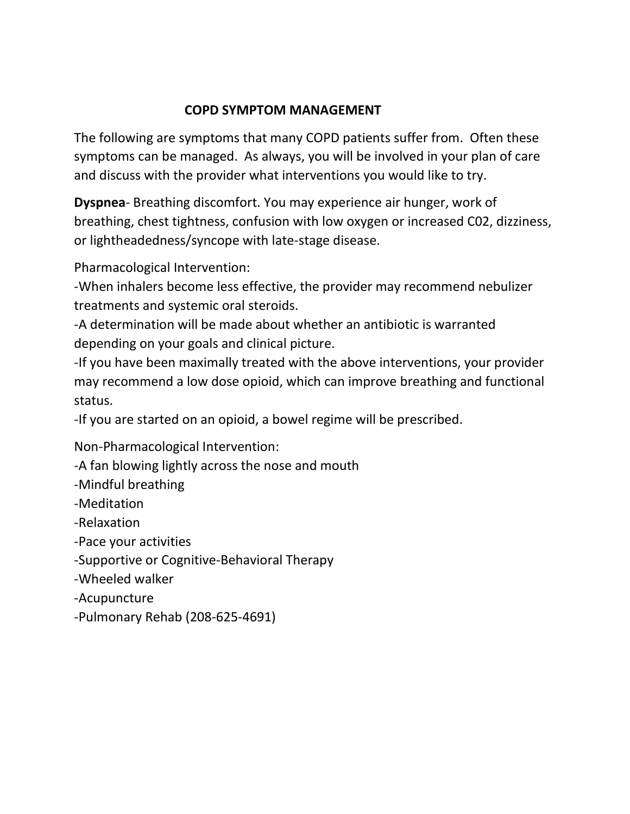## **COPD SYMPTOM MANAGEMENT**

The following are symptoms that many COPD patients suffer from. Often these symptoms can be managed. As always, you will be involved in your plan of care and discuss with the provider what interventions you would like to try.

**Dyspnea**- Breathing discomfort. You may experience air hunger, work of breathing, chest tightness, confusion with low oxygen or increased C02, dizziness, or lightheadedness/syncope with late-stage disease.

Pharmacological Intervention:

-When inhalers become less effective, the provider may recommend nebulizer treatments and systemic oral steroids.

-A determination will be made about whether an antibiotic is warranted depending on your goals and clinical picture.

-If you have been maximally treated with the above interventions, your provider may recommend a low dose opioid, which can improve breathing and functional status.

-If you are started on an opioid, a bowel regime will be prescribed.

Non-Pharmacological Intervention:

-A fan blowing lightly across the nose and mouth

-Mindful breathing

-Meditation

-Relaxation

-Pace your activities

-Supportive or Cognitive-Behavioral Therapy

-Wheeled walker

-Acupuncture

-Pulmonary Rehab (208-625-4691)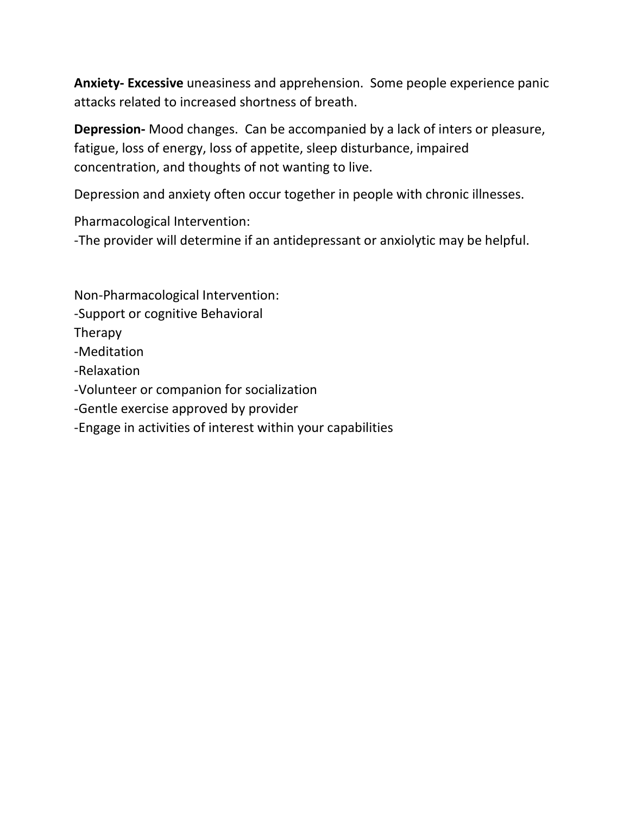**Anxiety- Excessive** uneasiness and apprehension. Some people experience panic attacks related to increased shortness of breath.

**Depression-** Mood changes. Can be accompanied by a lack of inters or pleasure, fatigue, loss of energy, loss of appetite, sleep disturbance, impaired concentration, and thoughts of not wanting to live.

Depression and anxiety often occur together in people with chronic illnesses.

Pharmacological Intervention:

-The provider will determine if an antidepressant or anxiolytic may be helpful.

Non-Pharmacological Intervention: -Support or cognitive Behavioral Therapy -Meditation -Relaxation -Volunteer or companion for socialization -Gentle exercise approved by provider -Engage in activities of interest within your capabilities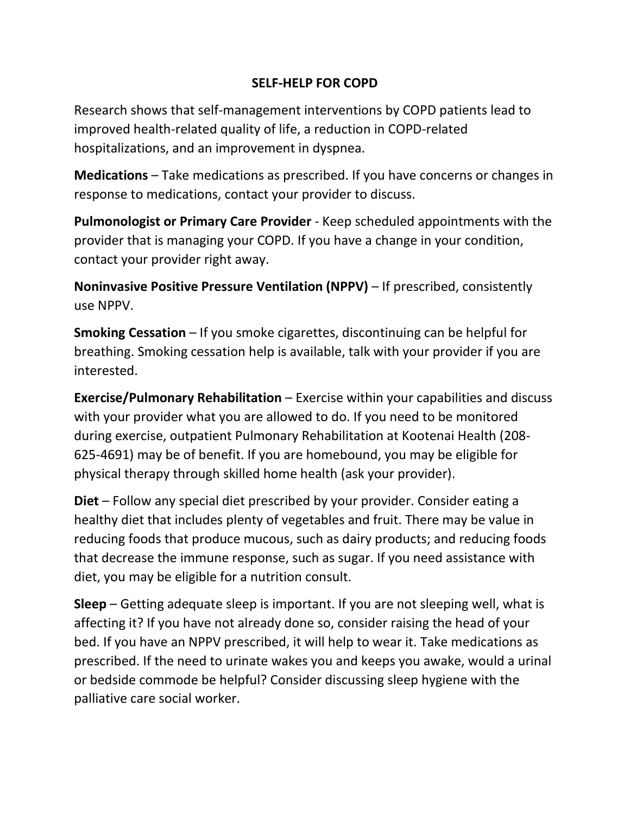## **SELF-HELP FOR COPD**

Research shows that self-management interventions by COPD patients lead to improved health-related quality of life, a reduction in COPD-related hospitalizations, and an improvement in dyspnea.

**Medications** – Take medications as prescribed. If you have concerns or changes in response to medications, contact your provider to discuss.

**Pulmonologist or Primary Care Provider** - Keep scheduled appointments with the provider that is managing your COPD. If you have a change in your condition, contact your provider right away.

**Noninvasive Positive Pressure Ventilation (NPPV)** – If prescribed, consistently use NPPV.

**Smoking Cessation** – If you smoke cigarettes, discontinuing can be helpful for breathing. Smoking cessation help is available, talk with your provider if you are interested.

**Exercise/Pulmonary Rehabilitation** – Exercise within your capabilities and discuss with your provider what you are allowed to do. If you need to be monitored during exercise, outpatient Pulmonary Rehabilitation at Kootenai Health (208- 625-4691) may be of benefit. If you are homebound, you may be eligible for physical therapy through skilled home health (ask your provider).

**Diet** – Follow any special diet prescribed by your provider. Consider eating a healthy diet that includes plenty of vegetables and fruit. There may be value in reducing foods that produce mucous, such as dairy products; and reducing foods that decrease the immune response, such as sugar. If you need assistance with diet, you may be eligible for a nutrition consult.

**Sleep** – Getting adequate sleep is important. If you are not sleeping well, what is affecting it? If you have not already done so, consider raising the head of your bed. If you have an NPPV prescribed, it will help to wear it. Take medications as prescribed. If the need to urinate wakes you and keeps you awake, would a urinal or bedside commode be helpful? Consider discussing sleep hygiene with the palliative care social worker.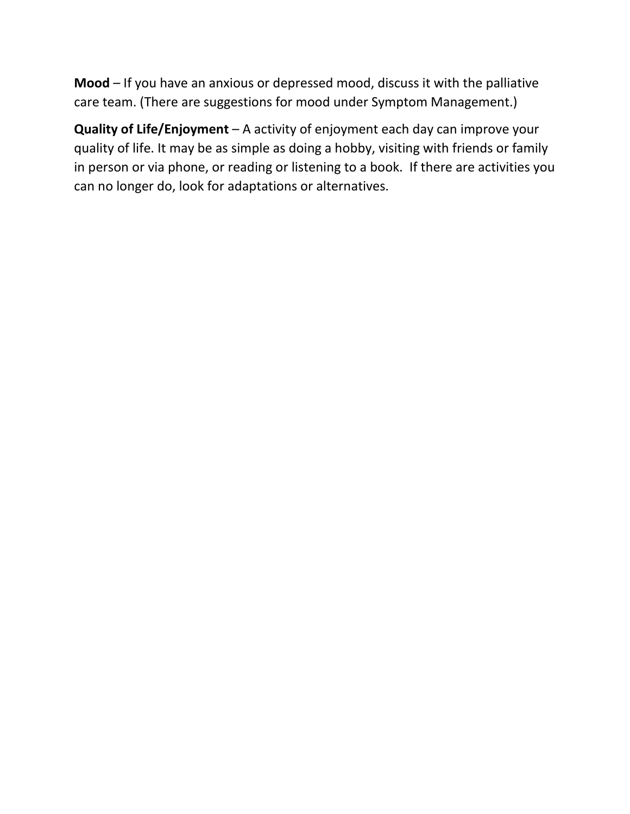**Mood** – If you have an anxious or depressed mood, discuss it with the palliative care team. (There are suggestions for mood under Symptom Management.)

**Quality of Life/Enjoyment** – A activity of enjoyment each day can improve your quality of life. It may be as simple as doing a hobby, visiting with friends or family in person or via phone, or reading or listening to a book. If there are activities you can no longer do, look for adaptations or alternatives.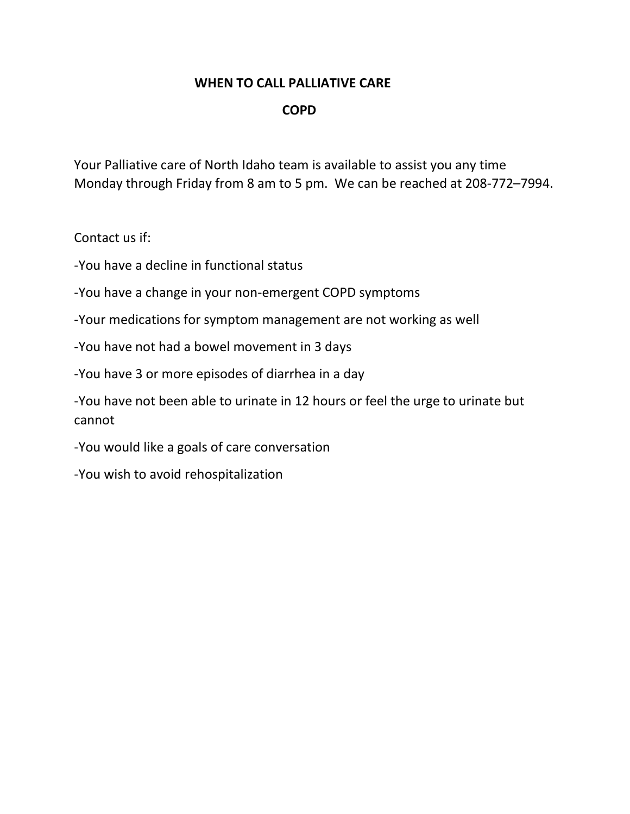#### **WHEN TO CALL PALLIATIVE CARE**

#### **COPD**

Your Palliative care of North Idaho team is available to assist you any time Monday through Friday from 8 am to 5 pm. We can be reached at 208-772–7994.

Contact us if:

-You have a decline in functional status

-You have a change in your non-emergent COPD symptoms

-Your medications for symptom management are not working as well

-You have not had a bowel movement in 3 days

-You have 3 or more episodes of diarrhea in a day

-You have not been able to urinate in 12 hours or feel the urge to urinate but cannot

-You would like a goals of care conversation

-You wish to avoid rehospitalization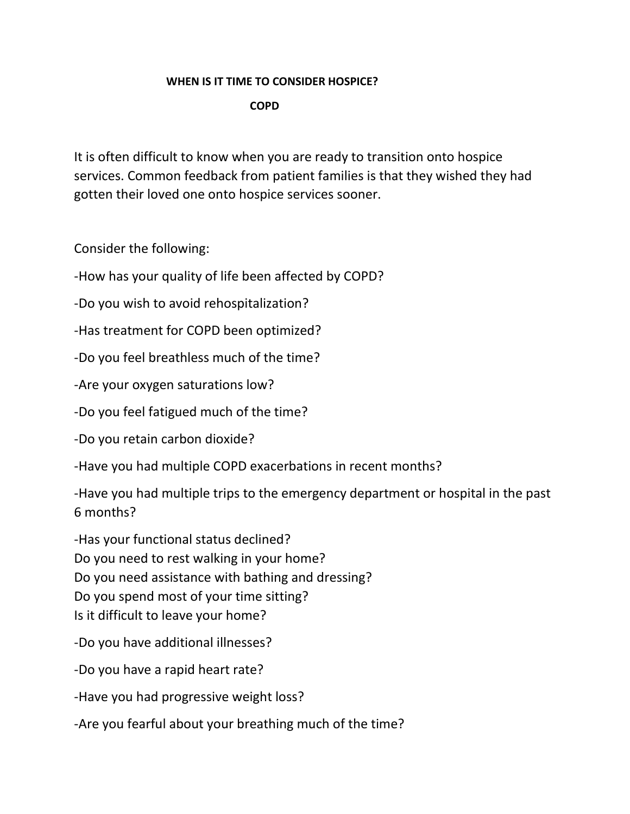#### **WHEN IS IT TIME TO CONSIDER HOSPICE?**

 **COPD**

It is often difficult to know when you are ready to transition onto hospice services. Common feedback from patient families is that they wished they had gotten their loved one onto hospice services sooner.

Consider the following:

-How has your quality of life been affected by COPD?

-Do you wish to avoid rehospitalization?

-Has treatment for COPD been optimized?

-Do you feel breathless much of the time?

-Are your oxygen saturations low?

-Do you feel fatigued much of the time?

-Do you retain carbon dioxide?

-Have you had multiple COPD exacerbations in recent months?

-Have you had multiple trips to the emergency department or hospital in the past 6 months?

-Has your functional status declined? Do you need to rest walking in your home? Do you need assistance with bathing and dressing? Do you spend most of your time sitting? Is it difficult to leave your home?

-Do you have additional illnesses?

-Do you have a rapid heart rate?

-Have you had progressive weight loss?

-Are you fearful about your breathing much of the time?